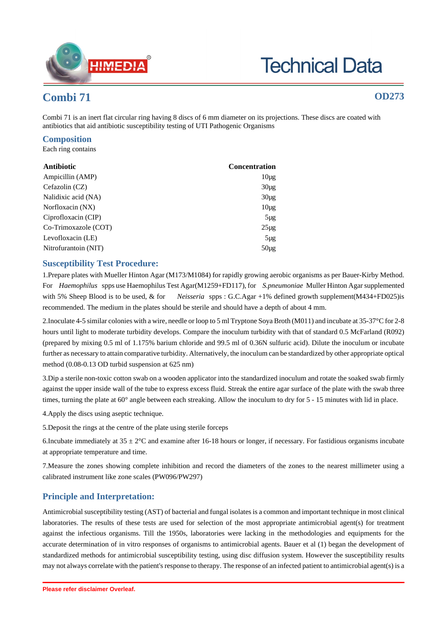

# **Technical Data**

## **Combi 71 OD273**

Combi 71 is an inert flat circular ring having 8 discs of 6 mm diameter on its projections. These discs are coated with antibiotics that aid antibiotic susceptibility testing of UTI Pathogenic Organisms

### **Composition**

Each ring contains

| Antibiotic           | <b>Concentration</b> |
|----------------------|----------------------|
| Ampicillin (AMP)     | $10\mu$ g            |
| Cefazolin (CZ)       | $30\mu$ g            |
| Nalidixic acid (NA)  | $30\mu$ g            |
| Norfloxacin (NX)     | $10\mu$ g            |
| Ciprofloxacin (CIP)  | $5\mu$ g             |
| Co-Trimoxazole (COT) | $25\mu g$            |
| Levofloxacin (LE)    | $5\mu g$             |
| Nitrofurantoin (NIT) | $50\mu$ g            |

#### **Susceptibility Test Procedure:**

1.Prepare plates with Mueller Hinton Agar (M173/M1084) for rapidly growing aerobic organisms as per Bauer-Kirby Method. For *Haemophilus* spps use Haemophilus Test Agar(M1259+FD117), for *S.pneumoniae* Muller Hinton Agar supplemented with 5% Sheep Blood is to be used, & for *Neisseria* spps : G.C.Agar +1% defined growth supplement(M434+FD025)is recommended. The medium in the plates should be sterile and should have a depth of about 4 mm.

2.Inoculate 4-5 similar colonies with a wire, needle or loop to 5 ml Tryptone Soya Broth (M011) and incubate at 35-37°C for 2-8 hours until light to moderate turbidity develops. Compare the inoculum turbidity with that of standard 0.5 McFarland (R092) (prepared by mixing 0.5 ml of 1.175% barium chloride and 99.5 ml of 0.36N sulfuric acid). Dilute the inoculum or incubate further as necessary to attain comparative turbidity. Alternatively, the inoculum can be standardized by other appropriate optical method (0.08-0.13 OD turbid suspension at 625 nm)

3.Dip a sterile non-toxic cotton swab on a wooden applicator into the standardized inoculum and rotate the soaked swab firmly against the upper inside wall of the tube to express excess fluid. Streak the entire agar surface of the plate with the swab three times, turning the plate at 60° angle between each streaking. Allow the inoculum to dry for 5 - 15 minutes with lid in place.

4.Apply the discs using aseptic technique.

5.Deposit the rings at the centre of the plate using sterile forceps

6.Incubate immediately at  $35 \pm 2^{\circ}$ C and examine after 16-18 hours or longer, if necessary. For fastidious organisms incubate at appropriate temperature and time.

7.Measure the zones showing complete inhibition and record the diameters of the zones to the nearest millimeter using a calibrated instrument like zone scales (PW096/PW297)

### **Principle and Interpretation:**

Antimicrobial susceptibility testing (AST) of bacterial and fungal isolates is a common and important technique in most clinical laboratories. The results of these tests are used for selection of the most appropriate antimicrobial agent(s) for treatment against the infectious organisms. Till the 1950s, laboratories were lacking in the methodologies and equipments for the accurate determination of in vitro responses of organisms to antimicrobial agents. Bauer et al (1) began the development of standardized methods for antimicrobial susceptibility testing, using disc diffusion system. However the susceptibility results may not always correlate with the patient's response to therapy. The response of an infected patient to antimicrobial agent(s) is a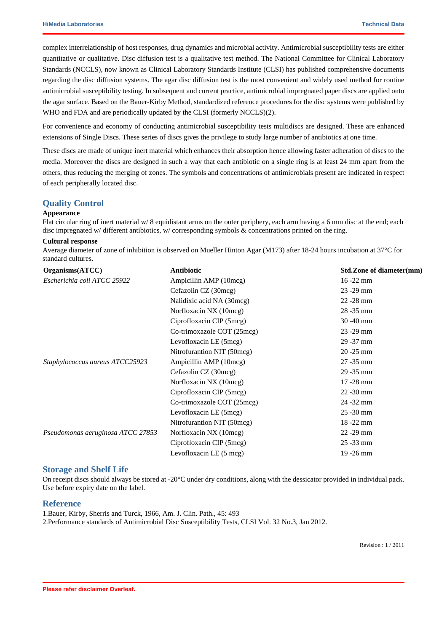complex interrelationship of host responses, drug dynamics and microbial activity. Antimicrobial susceptibility tests are either quantitative or qualitative. Disc diffusion test is a qualitative test method. The National Committee for Clinical Laboratory Standards (NCCLS), now known as Clinical Laboratory Standards Institute (CLSI) has published comprehensive documents regarding the disc diffusion systems. The agar disc diffusion test is the most convenient and widely used method for routine antimicrobial susceptibility testing. In subsequent and current practice, antimicrobial impregnated paper discs are applied onto the agar surface. Based on the Bauer-Kirby Method, standardized reference procedures for the disc systems were published by WHO and FDA and are periodically updated by the CLSI (formerly NCCLS)(2).

For convenience and economy of conducting antimicrobial susceptibility tests multidiscs are designed. These are enhanced extensions of Single Discs. These series of discs gives the privilege to study large number of antibiotics at one time.

These discs are made of unique inert material which enhances their absorption hence allowing faster adheration of discs to the media. Moreover the discs are designed in such a way that each antibiotic on a single ring is at least 24 mm apart from the others, thus reducing the merging of zones. The symbols and concentrations of antimicrobials present are indicated in respect of each peripherally located disc.

#### **Quality Control**

#### **Appearance**

Flat circular ring of inert material w/8 equidistant arms on the outer periphery, each arm having a 6 mm disc at the end; each disc impregnated w/ different antibiotics, w/ corresponding symbols & concentrations printed on the ring.

#### **Cultural response**

Average diameter of zone of inhibition is observed on Mueller Hinton Agar (M173) after 18-24 hours incubation at 37°C for standard cultures.

| Organisms(ATCC)                   | Antibiotic                 | Std.Zone of diameter(mm) |
|-----------------------------------|----------------------------|--------------------------|
| Escherichia coli ATCC 25922       | Ampicillin AMP (10mcg)     | $16 - 22$ mm             |
|                                   | Cefazolin CZ (30mcg)       | $23 - 29$ mm             |
|                                   | Nalidixic acid NA (30mcg)  | $22 - 28$ mm             |
|                                   | Norfloxacin NX (10mcg)     | $28 - 35$ mm             |
|                                   | Ciprofloxacin CIP (5mcg)   | $30 - 40$ mm             |
|                                   | Co-trimoxazole COT (25mcg) | $23 - 29$ mm             |
|                                   | Levofloxacin LE (5mcg)     | 29 - 37 mm               |
|                                   | Nitrofurantion NIT (50mcg) | $20 - 25$ mm             |
| Staphylococcus aureus ATCC25923   | Ampicillin AMP (10mcg)     | $27 - 35$ mm             |
|                                   | Cefazolin CZ (30mcg)       | $29 - 35$ mm             |
|                                   | Norfloxacin NX (10mcg)     | $17 - 28$ mm             |
|                                   | Ciprofloxacin CIP (5mcg)   | $22 - 30$ mm             |
|                                   | Co-trimoxazole COT (25mcg) | 24 - 32 mm               |
|                                   | Levofloxacin LE (5mcg)     | $25 - 30$ mm             |
|                                   | Nitrofurantion NIT (50mcg) | 18 - 22 mm               |
| Pseudomonas aeruginosa ATCC 27853 | Norfloxacin NX (10mcg)     | $22 - 29$ mm             |
|                                   | Ciprofloxacin CIP (5mcg)   | $25 - 33$ mm             |
|                                   | Levofloxacin LE (5 mcg)    | $19 - 26$ mm             |

#### **Storage and Shelf Life**

On receipt discs should always be stored at -20°C under dry conditions, along with the dessicator provided in individual pack. Use before expiry date on the label.

#### **Reference**

1.Bauer, Kirby, Sherris and Turck, 1966, Am. J. Clin. Path., 45: 493

2.Performance standards of Antimicrobial Disc Susceptibility Tests, CLSI Vol. 32 No.3, Jan 2012.

Revision : 1 / 2011